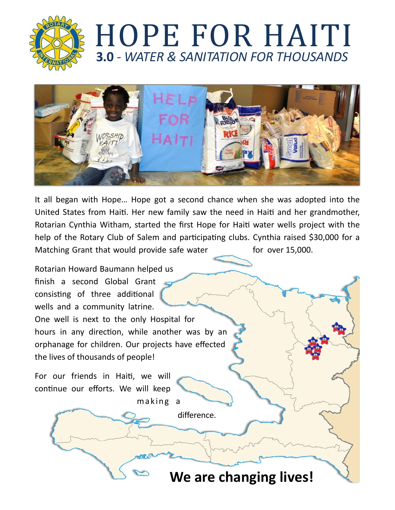

## **3.0** *- WATER & SANITATION FOR THOUSANDS* HOPE FOR HAITI



It all began with Hope... Hope got a second chance when she was adopted into the United States from Haiti. Her new family saw the need in Haiti and her grandmother, Rotarian Cynthia Witham, started the first Hope for Haiti water wells project with the help of the Rotary Club of Salem and participating clubs. Cynthia raised \$30,000 for a Matching Grant that would provide safe water for over 15,000.

Rotarian Howard Baumann helped us finish a second Global Grant consisting of three additional wells and a community latrine. One well is next to the only Hospital for hours in any direction, while another was by an orphanage for children. Our projects have effected the lives of thousands of people!

For our friends in Haiti, we will continue our efforts. We will keep making a

difference.

We are changing lives!